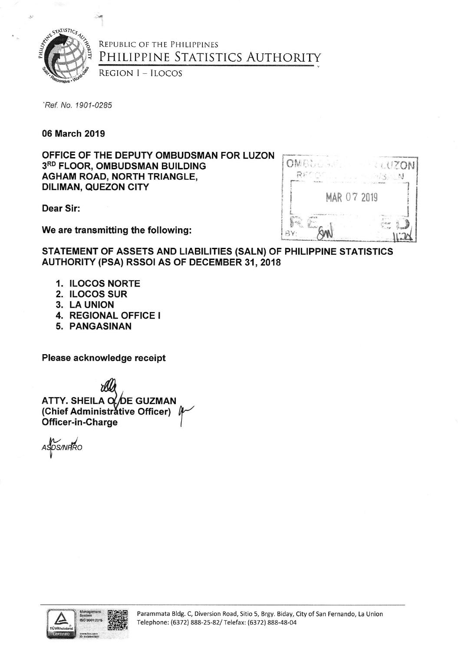

## REPUBLIC OF THE PHILIPPINES PHILIPPINE STATISTICS AUTHORITY

**REGION I - ILOCOS** 

'Ref. No. 1901-0285

06 March 2019

OFFICE OF THE DEPUTY OMBUDSMAN FOR LUZON 3RD FLOOR, OMBUDSMAN BUILDING **AGHAM ROAD, NORTH TRIANGLE, DILIMAN, QUEZON CITY** 

**Dear Sir:** 

We are transmitting the following:

| <b>OMBULST</b> | <b>ANTON</b>    |  |
|----------------|-----------------|--|
|                | 9. 9.<br>$56 -$ |  |
| MAR 07 2019    |                 |  |
|                |                 |  |
|                |                 |  |

STATEMENT OF ASSETS AND LIABILITIES (SALN) OF PHILIPPINE STATISTICS AUTHORITY (PSA) RSSOI AS OF DECEMBER 31, 2018

- 1. ILOCOS NORTE
- 2. ILOCOS SUR
- 3. LA UNION
- 4. REGIONAL OFFICE I
- 5. PANGASINAN

Please acknowledge receipt

ATTY. SHEILA O. DE GUZMAN (Chief Administrative Officer) Officer-in-Charge

ASDS/NHRO